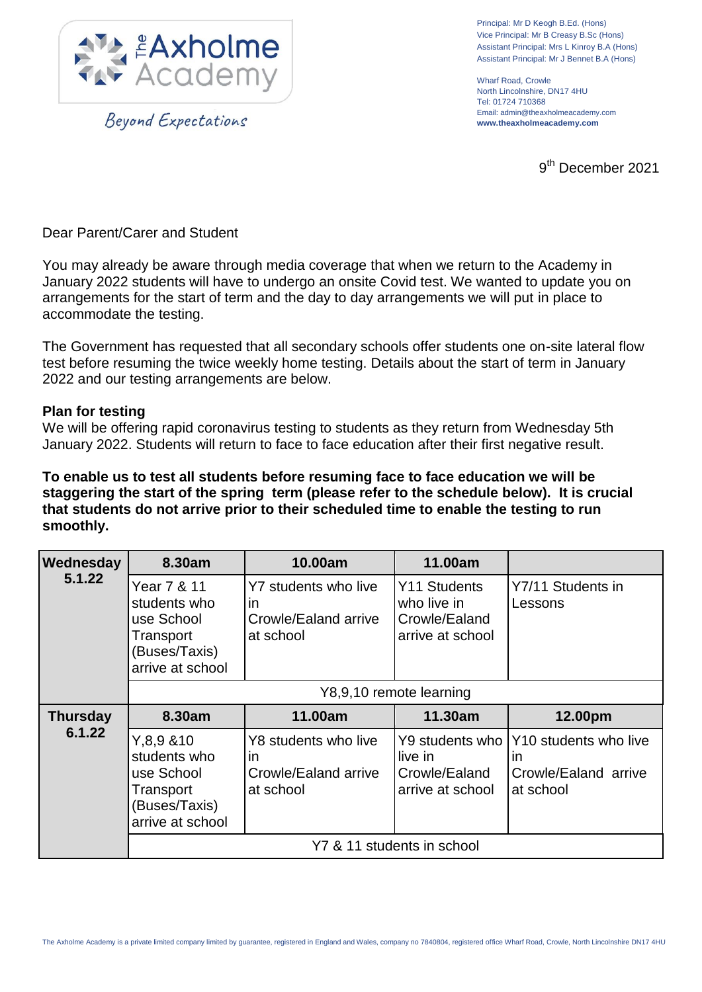

Beyond Expectations

Principal: Mr D Keogh B.Ed. (Hons) Vice Principal: Mr B Creasy B.Sc (Hons) Assistant Principal: Mrs L Kinroy B.A (Hons) Assistant Principal: Mr J Bennet B.A (Hons)

Wharf Road, Crowle North Lincolnshire, DN17 4HU Tel: 01724 710368 Email: admin@theaxholmeacademy.com **www.theaxholmeacademy.com**

9<sup>th</sup> December 2021

Dear Parent/Carer and Student

You may already be aware through media coverage that when we return to the Academy in January 2022 students will have to undergo an onsite Covid test. We wanted to update you on arrangements for the start of term and the day to day arrangements we will put in place to accommodate the testing.

The Government has requested that all secondary schools offer students one on-site lateral flow test before resuming the twice weekly home testing. Details about the start of term in January 2022 and our testing arrangements are below.

## **Plan for testing**

We will be offering rapid coronavirus testing to students as they return from Wednesday 5th January 2022. Students will return to face to face education after their first negative result.

**To enable us to test all students before resuming face to face education we will be staggering the start of the spring term (please refer to the schedule below). It is crucial that students do not arrive prior to their scheduled time to enable the testing to run smoothly.**

| Wednesday<br>5.1.22       | 8.30am                                                                                         | 10.00am                                                         | 11.00am                                                          |                                                                  |
|---------------------------|------------------------------------------------------------------------------------------------|-----------------------------------------------------------------|------------------------------------------------------------------|------------------------------------------------------------------|
|                           | Year 7 & 11<br>students who<br>use School<br>Transport<br>(Buses/Taxis)<br>arrive at school    | Y7 students who live<br>in<br>Crowle/Ealand arrive<br>at school | Y11 Students<br>who live in<br>Crowle/Ealand<br>arrive at school | Y7/11 Students in<br>Lessons                                     |
|                           | Y8,9,10 remote learning                                                                        |                                                                 |                                                                  |                                                                  |
| <b>Thursday</b><br>6.1.22 | 8.30am                                                                                         | 11.00am                                                         | 11.30am                                                          | 12.00pm                                                          |
|                           | Y, 8, 9, 8, 10<br>students who<br>use School<br>Transport<br>(Buses/Taxis)<br>arrive at school | Y8 students who live<br>in<br>Crowle/Ealand arrive<br>at school | Y9 students who<br>live in<br>Crowle/Ealand<br>arrive at school  | Y10 students who live<br>ın<br>Crowle/Ealand arrive<br>at school |
|                           | Y7 & 11 students in school                                                                     |                                                                 |                                                                  |                                                                  |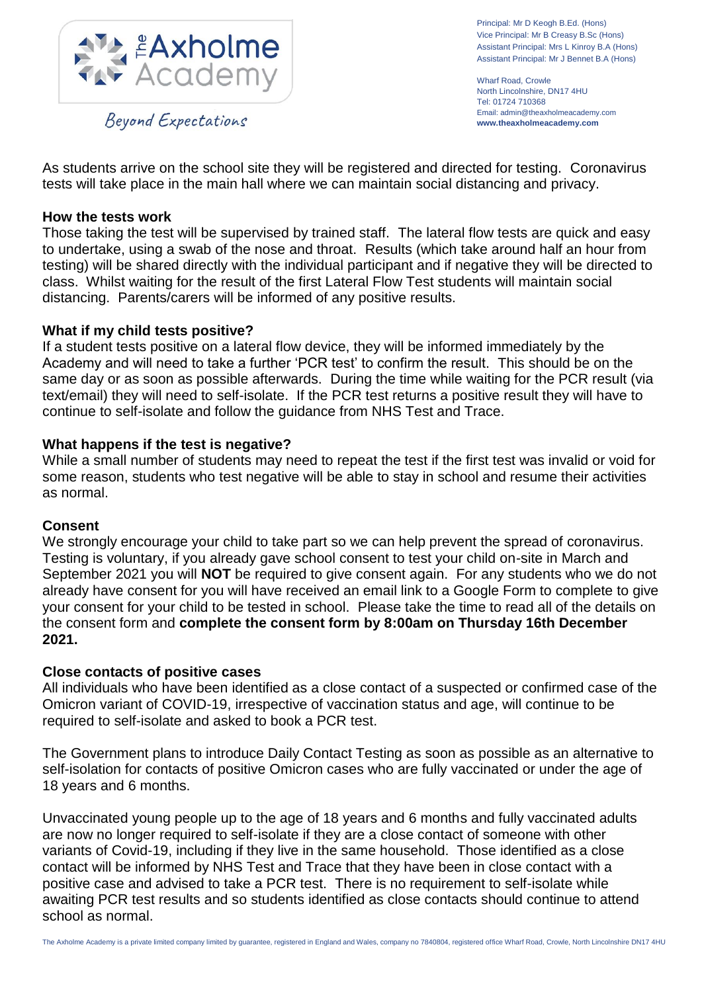

Beyond Expectations

Principal: Mr D Keogh B.Ed. (Hons) Vice Principal: Mr B Creasy B.Sc (Hons) Assistant Principal: Mrs L Kinroy B.A (Hons) Assistant Principal: Mr J Bennet B.A (Hons)

Wharf Road, Crowle North Lincolnshire, DN17 4HU Tel: 01724 710368 Email: admin@theaxholmeacademy.com **www.theaxholmeacademy.com**

As students arrive on the school site they will be registered and directed for testing. Coronavirus tests will take place in the main hall where we can maintain social distancing and privacy.

## **How the tests work**

Those taking the test will be supervised by trained staff. The lateral flow tests are quick and easy to undertake, using a swab of the nose and throat. Results (which take around half an hour from testing) will be shared directly with the individual participant and if negative they will be directed to class. Whilst waiting for the result of the first Lateral Flow Test students will maintain social distancing. Parents/carers will be informed of any positive results.

### **What if my child tests positive?**

If a student tests positive on a lateral flow device, they will be informed immediately by the Academy and will need to take a further 'PCR test' to confirm the result. This should be on the same day or as soon as possible afterwards. During the time while waiting for the PCR result (via text/email) they will need to self-isolate. If the PCR test returns a positive result they will have to continue to self-isolate and follow the guidance from NHS Test and Trace.

## **What happens if the test is negative?**

While a small number of students may need to repeat the test if the first test was invalid or void for some reason, students who test negative will be able to stay in school and resume their activities as normal.

#### **Consent**

We strongly encourage your child to take part so we can help prevent the spread of coronavirus. Testing is voluntary, if you already gave school consent to test your child on-site in March and September 2021 you will **NOT** be required to give consent again. For any students who we do not already have consent for you will have received an email link to a Google Form to complete to give your consent for your child to be tested in school. Please take the time to read all of the details on the consent form and **complete the consent form by 8:00am on Thursday 16th December 2021.**

#### **Close contacts of positive cases**

All individuals who have been identified as a close contact of a suspected or confirmed case of the Omicron variant of COVID-19, irrespective of vaccination status and age, will continue to be required to self-isolate and asked to book a PCR test.

The Government plans to introduce Daily Contact Testing as soon as possible as an alternative to self-isolation for contacts of positive Omicron cases who are fully vaccinated or under the age of 18 years and 6 months.

Unvaccinated young people up to the age of 18 years and 6 months and fully vaccinated adults are now no longer required to self-isolate if they are a close contact of someone with other variants of Covid-19, including if they live in the same household. Those identified as a close contact will be informed by NHS Test and Trace that they have been in close contact with a positive case and advised to take a PCR test. There is no requirement to self-isolate while awaiting PCR test results and so students identified as close contacts should continue to attend school as normal.